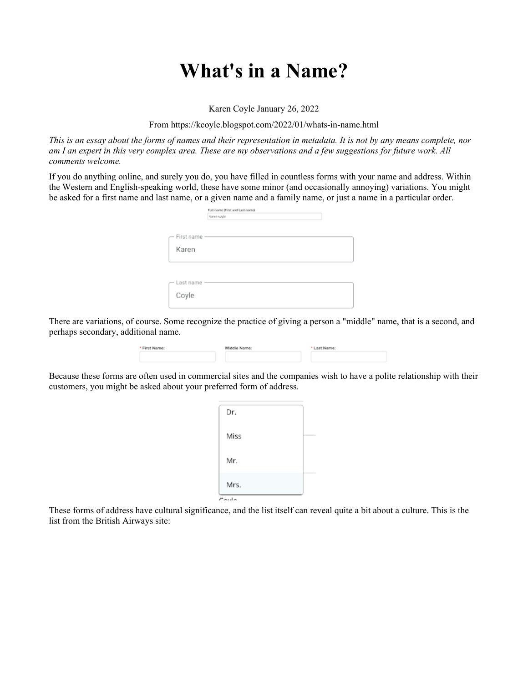## **What's in a Name?**

Karen Coyle January 26, 2022

From https://kcoyle.blogspot.com/2022/01/whats-in-name.html

*This is an essay about the forms of names and their representation in metadata. It is not by any means complete, nor am I an expert in this very complex area. These are my observations and a few suggestions for future work. All comments welcome.*

If you do anything online, and surely you do, you have filled in countless forms with your name and address. Within the Western and English-speaking world, these have some minor (and occasionally annoying) variations. You might be asked for a first name and last name, or a given name and a family name, or just a name in a particular order.

|            | Full nome (First and Last nome) |  |
|------------|---------------------------------|--|
|            | karen coyle                     |  |
|            |                                 |  |
|            |                                 |  |
| First name |                                 |  |
|            |                                 |  |
| Karen      |                                 |  |
|            |                                 |  |
|            |                                 |  |
|            |                                 |  |
| Last name  |                                 |  |
|            |                                 |  |
| Coyle      |                                 |  |
|            |                                 |  |
|            |                                 |  |

There are variations, of course. Some recognize the practice of giving a person a "middle" name, that is a second, and perhaps secondary, additional name.

| * First Name: | Middle Name: | * Last Name: |  |
|---------------|--------------|--------------|--|
|               |              |              |  |

Because these forms are often used in commercial sites and the companies wish to have a polite relationship with their customers, you might be asked about your preferred form of address.

| Dr.   |  |
|-------|--|
| Miss  |  |
| Mr.   |  |
| Mrs.  |  |
| Coulo |  |

These forms of address have cultural significance, and the list itself can reveal quite a bit about a culture. This is the list from the British Airways site: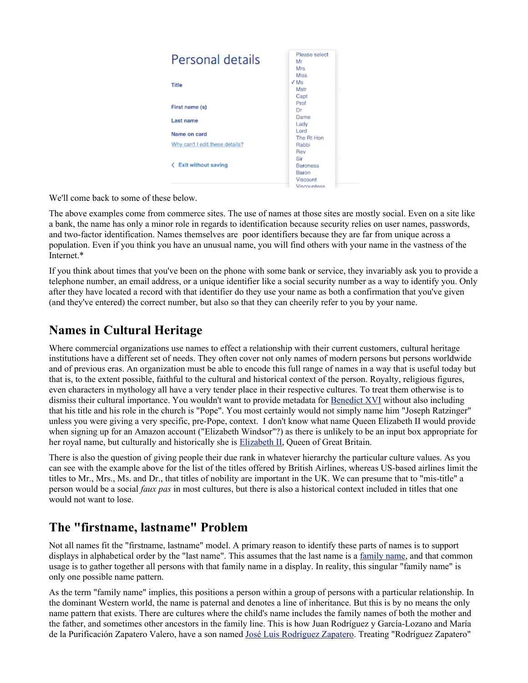

We'll come back to some of these below.

The above examples come from commerce sites. The use of names at those sites are mostly social. Even on a site like a bank, the name has only a minor role in regards to identification because security relies on user names, passwords, and two-factor identification. Names themselves are poor identifiers because they are far from unique across a population. Even if you think you have an unusual name, you will find others with your name in the vastness of the Internet.\*

If you think about times that you've been on the phone with some bank or service, they invariably ask you to provide a telephone number, an email address, or a unique identifier like a social security number as a way to identify you. Only after they have located a record with that identifier do they use your name as both a confirmation that you've given (and they've entered) the correct number, but also so that they can cheerily refer to you by your name.

#### **Names in Cultural Heritage**

Where commercial organizations use names to effect a relationship with their current customers, cultural heritage institutions have a different set of needs. They often cover not only names of modern persons but persons worldwide and of previous eras. An organization must be able to encode this full range of names in a way that is useful today but that is, to the extent possible, faithful to the cultural and historical context of the person. Royalty, religious figures, even characters in mythology all have a very tender place in their respective cultures. To treat them otherwise is to dismiss their cultural importance. You wouldn't want to provide metadata for Benedict XVI without also including that his title and his role in the church is "Pope". You most certainly would not simply name him "Joseph Ratzinger" unless you were giving a very specific, pre-Pope, context. I don't know what name Queen Elizabeth II would provide when signing up for an Amazon account ("Elizabeth Windsor"?) as there is unlikely to be an input box appropriate for her royal name, but culturally and historically she is Elizabeth II, Queen of Great Britain.

There is also the question of giving people their due rank in whatever hierarchy the particular culture values. As you can see with the example above for the list of the titles offered by British Airlines, whereas US-based airlines limit the titles to Mr., Mrs., Ms. and Dr., that titles of nobility are important in the UK. We can presume that to "mis-title" a person would be a social *faux pas* in most cultures, but there is also a historical context included in titles that one would not want to lose.

#### **The "firstname, lastname" Problem**

Not all names fit the "firstname, lastname" model. A primary reason to identify these parts of names is to support displays in alphabetical order by the "last name". This assumes that the last name is a family name, and that common usage is to gather together all persons with that family name in a display. In reality, this singular "family name" is only one possible name pattern.

As the term "family name" implies, this positions a person within a group of persons with a particular relationship. In the dominant Western world, the name is paternal and denotes a line of inheritance. But this is by no means the only name pattern that exists. There are cultures where the child's name includes the family names of both the mother and the father, and sometimes other ancestors in the family line. This is how Juan Rodríguez y García-Lozano and María de la Purificación Zapatero Valero, have a son named José Luis Rodríguez Zapatero. Treating "Rodríguez Zapatero"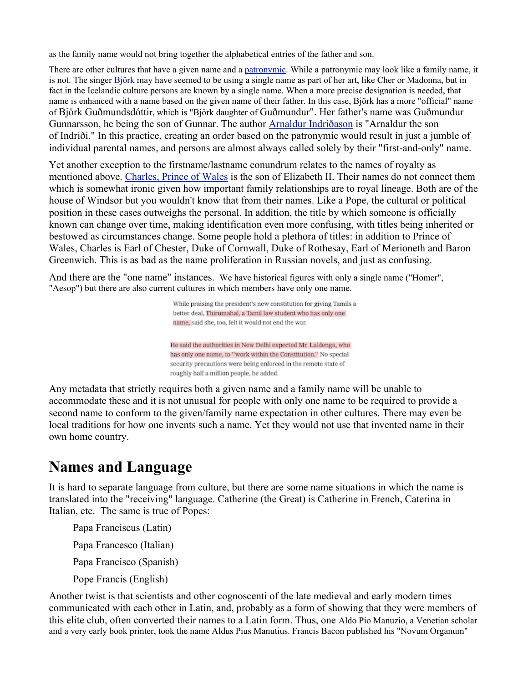as the family name would not bring together the alphabetical entries of the father and son.

There are other cultures that have a given name and a patronymic. While a patronymic may look like a family name, it is not. The singer Björk may have seemed to be using a single name as part of her art, like Cher or Madonna, but in fact in the Icelandic culture persons are known by a single name. When a more precise designation is needed, that name is enhanced with a name based on the given name of their father. In this case, Björk has a more "official" name of Björk Guðmundsdóttir, which is "Björk daughter of Guðmundur". Her father's name was Guðmundur Gunnarsson, he being the son of Gunnar. The author Arnaldur Indriðason is "Arnaldur the son of Indriði." In this practice, creating an order based on the patronymic would result in just a jumble of individual parental names, and persons are almost always called solely by their "first-and-only" name.

Yet another exception to the firstname/lastname conundrum relates to the names of royalty as mentioned above. Charles, Prince of Wales is the son of Elizabeth II. Their names do not connect them which is somewhat ironic given how important family relationships are to royal lineage. Both are of the house of Windsor but you wouldn't know that from their names. Like a Pope, the cultural or political position in these cases outweighs the personal. In addition, the title by which someone is officially known can change over time, making identification even more confusing, with titles being inherited or bestowed as circumstances change. Some people hold a plethora of titles: in addition to Prince of Wales, Charles is Earl of Chester, Duke of Cornwall, Duke of Rothesay, Earl of Merioneth and Baron Greenwich. This is as bad as the name proliferation in Russian novels, and just as confusing.

And there are the "one name" instances. We have historical figures with only a single name ("Homer", "Aesop") but there are also current cultures in which members have only one name.

> While praising the president's new constitution for giving Tamils a better deal, Thirumahal, a Tamil law student who has only one name, said she, too, felt it would not end the war.

He said the authorities in New Delhi expected Mr. Laldenga, who has only one name, to "work within the Constitution." No special security precautions were being enforced in the remote state of roughly half a million people, he added.

Any metadata that strictly requires both a given name and a family name will be unable to accommodate these and it is not unusual for people with only one name to be required to provide a second name to conform to the given/family name expectation in other cultures. There may even be local traditions for how one invents such a name. Yet they would not use that invented name in their own home country.

### **Names and Language**

It is hard to separate language from culture, but there are some name situations in which the name is translated into the "receiving" language. Catherine (the Great) is Catherine in French, Caterina in Italian, etc. The same is true of Popes:

Papa Franciscus (Latin)

Papa Francesco (Italian)

Papa Francisco (Spanish)

Pope Francis (English)

Another twist is that scientists and other cognoscenti of the late medieval and early modern times communicated with each other in Latin, and, probably as a form of showing that they were members of this elite club, often converted their names to a Latin form. Thus, one Aldo Pio Manuzio, a Venetian scholar and a very early book printer, took the name Aldus Pius Manutius. Francis Bacon published his "Novum Organum"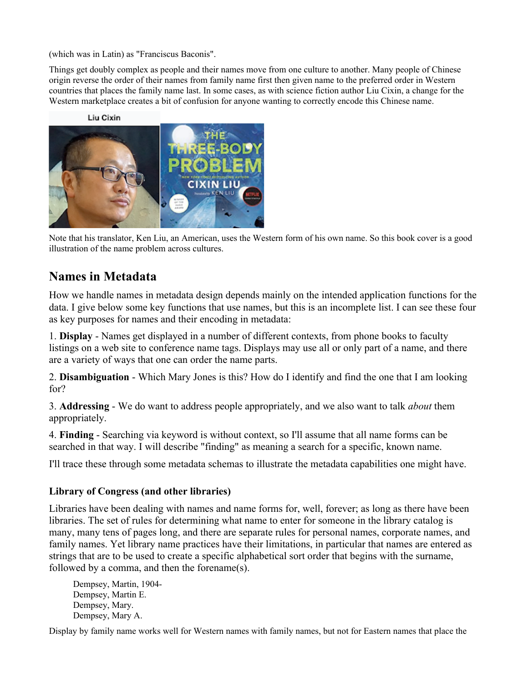(which was in Latin) as "Franciscus Baconis".

Things get doubly complex as people and their names move from one culture to another. Many people of Chinese origin reverse the order of their names from family name first then given name to the preferred order in Western countries that places the family name last. In some cases, as with science fiction author Liu Cixin, a change for the Western marketplace creates a bit of confusion for anyone wanting to correctly encode this Chinese name.



Note that his translator, Ken Liu, an American, uses the Western form of his own name. So this book cover is a good illustration of the name problem across cultures.

#### **Names in Metadata**

How we handle names in metadata design depends mainly on the intended application functions for the data. I give below some key functions that use names, but this is an incomplete list. I can see these four as key purposes for names and their encoding in metadata:

1. **Display** - Names get displayed in a number of different contexts, from phone books to faculty listings on a web site to conference name tags. Displays may use all or only part of a name, and there are a variety of ways that one can order the name parts.

2. **Disambiguation** - Which Mary Jones is this? How do I identify and find the one that I am looking for?

3. **Addressing** - We do want to address people appropriately, and we also want to talk *about* them appropriately.

4. **Finding** - Searching via keyword is without context, so I'll assume that all name forms can be searched in that way. I will describe "finding" as meaning a search for a specific, known name.

I'll trace these through some metadata schemas to illustrate the metadata capabilities one might have.

#### **Library of Congress (and other libraries)**

Libraries have been dealing with names and name forms for, well, forever; as long as there have been libraries. The set of rules for determining what name to enter for someone in the library catalog is many, many tens of pages long, and there are separate rules for personal names, corporate names, and family names. Yet library name practices have their limitations, in particular that names are entered as strings that are to be used to create a specific alphabetical sort order that begins with the surname, followed by a comma, and then the forename(s).

Dempsey, Martin, 1904- Dempsey, Martin E. Dempsey, Mary. Dempsey, Mary A.

Display by family name works well for Western names with family names, but not for Eastern names that place the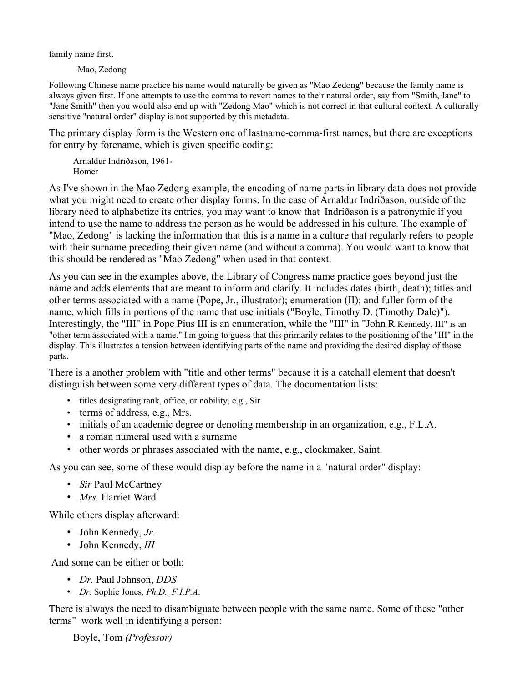family name first.

Mao, Zedong

Following Chinese name practice his name would naturally be given as "Mao Zedong" because the family name is always given first. If one attempts to use the comma to revert names to their natural order, say from "Smith, Jane" to "Jane Smith" then you would also end up with "Zedong Mao" which is not correct in that cultural context. A culturally sensitive "natural order" display is not supported by this metadata.

The primary display form is the Western one of lastname-comma-first names, but there are exceptions for entry by forename, which is given specific coding:

Arnaldur Indriðason, 1961- Homer

As I've shown in the Mao Zedong example, the encoding of name parts in library data does not provide what you might need to create other display forms. In the case of Arnaldur Indriðason, outside of the library need to alphabetize its entries, you may want to know that Indriðason is a patronymic if you intend to use the name to address the person as he would be addressed in his culture. The example of "Mao, Zedong" is lacking the information that this is a name in a culture that regularly refers to people with their surname preceding their given name (and without a comma). You would want to know that this should be rendered as "Mao Zedong" when used in that context.

As you can see in the examples above, the Library of Congress name practice goes beyond just the name and adds elements that are meant to inform and clarify. It includes dates (birth, death); titles and other terms associated with a name (Pope, Jr., illustrator); enumeration (II); and fuller form of the name, which fills in portions of the name that use initials ("Boyle, Timothy D. (Timothy Dale)"). Interestingly, the "III" in Pope Pius III is an enumeration, while the "III" in "John R Kennedy, III" is an "other term associated with a name." I'm going to guess that this primarily relates to the positioning of the "III" in the display. This illustrates a tension between identifying parts of the name and providing the desired display of those parts.

There is a another problem with "title and other terms" because it is a catchall element that doesn't distinguish between some very different types of data. The documentation lists:

- titles designating rank, office, or nobility, e.g., Sir
- terms of address, e.g., Mrs.
- initials of an academic degree or denoting membership in an organization, e.g., F.L.A.
- a roman numeral used with a surname
- other words or phrases associated with the name, e.g., clockmaker, Saint.

As you can see, some of these would display before the name in a "natural order" display:

- *Sir* Paul McCartney
- *Mrs.* Harriet Ward

While others display afterward:

- John Kennedy, *Jr*.
- John Kennedy, *III*

And some can be either or both:

- *Dr.* Paul Johnson, *DDS*
- *Dr.* Sophie Jones, *Ph.D., F.I.P.A*.

There is always the need to disambiguate between people with the same name. Some of these "other terms" work well in identifying a person:

Boyle, Tom *(Professor)*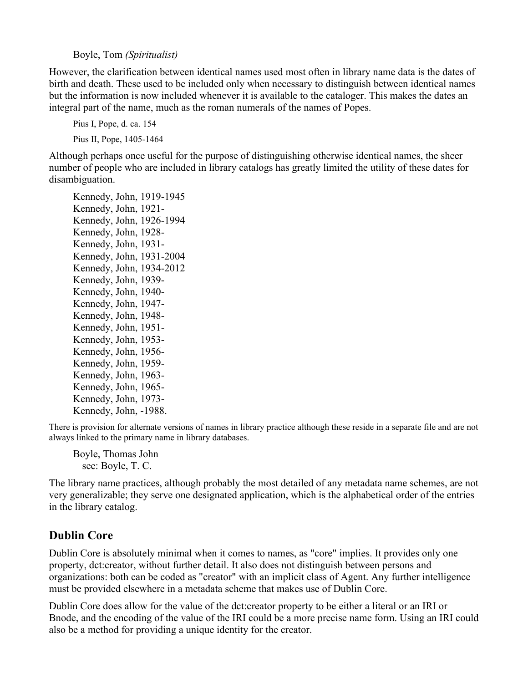Boyle, Tom *(Spiritualist)*

However, the clarification between identical names used most often in library name data is the dates of birth and death. These used to be included only when necessary to distinguish between identical names but the information is now included whenever it is available to the cataloger. This makes the dates an integral part of the name, much as the roman numerals of the names of Popes.

Pius I, Pope, d. ca. 154 Pius II, Pope, 1405-1464

Although perhaps once useful for the purpose of distinguishing otherwise identical names, the sheer number of people who are included in library catalogs has greatly limited the utility of these dates for disambiguation.

Kennedy, John, 1919-1945 Kennedy, John, 1921- Kennedy, John, 1926-1994 Kennedy, John, 1928- Kennedy, John, 1931- Kennedy, John, 1931-2004 Kennedy, John, 1934-2012 Kennedy, John, 1939- Kennedy, John, 1940- Kennedy, John, 1947- Kennedy, John, 1948- Kennedy, John, 1951- Kennedy, John, 1953- Kennedy, John, 1956- Kennedy, John, 1959- Kennedy, John, 1963- Kennedy, John, 1965- Kennedy, John, 1973- Kennedy, John, -1988.

There is provision for alternate versions of names in library practice although these reside in a separate file and are not always linked to the primary name in library databases.

Boyle, Thomas John see: Boyle, T. C.

The library name practices, although probably the most detailed of any metadata name schemes, are not very generalizable; they serve one designated application, which is the alphabetical order of the entries in the library catalog.

#### **Dublin Core**

Dublin Core is absolutely minimal when it comes to names, as "core" implies. It provides only one property, dct:creator, without further detail. It also does not distinguish between persons and organizations: both can be coded as "creator" with an implicit class of Agent. Any further intelligence must be provided elsewhere in a metadata scheme that makes use of Dublin Core.

Dublin Core does allow for the value of the dct:creator property to be either a literal or an IRI or Bnode, and the encoding of the value of the IRI could be a more precise name form. Using an IRI could also be a method for providing a unique identity for the creator.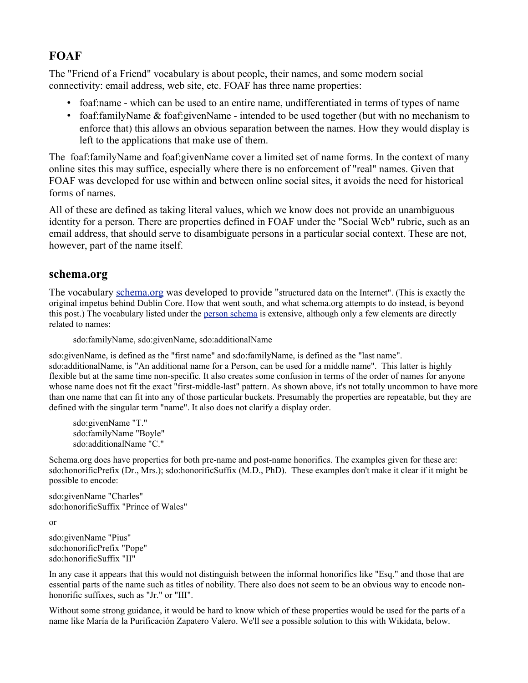#### **FOAF**

The "Friend of a Friend" vocabulary is about people, their names, and some modern social connectivity: email address, web site, etc. FOAF has three name properties:

- foaf: name which can be used to an entire name, undifferentiated in terms of types of name
- foaf:familyName & foaf:givenName intended to be used together (but with no mechanism to enforce that) this allows an obvious separation between the names. How they would display is left to the applications that make use of them.

The foaf:familyName and foaf:givenName cover a limited set of name forms. In the context of many online sites this may suffice, especially where there is no enforcement of "real" names. Given that FOAF was developed for use within and between online social sites, it avoids the need for historical forms of names.

All of these are defined as taking literal values, which we know does not provide an unambiguous identity for a person. There are properties defined in FOAF under the "Social Web" rubric, such as an email address, that should serve to disambiguate persons in a particular social context. These are not, however, part of the name itself.

#### **schema.org**

The vocabulary schema.org was developed to provide "structured data on the Internet". (This is exactly the original impetus behind Dublin Core. How that went south, and what schema.org attempts to do instead, is beyond this post.) The vocabulary listed under the person schema is extensive, although only a few elements are directly related to names:

sdo:familyName, sdo:givenName, sdo:additionalName

sdo:givenName, is defined as the "first name" and sdo:familyName, is defined as the "last name". sdo:additionalName, is "An additional name for a Person, can be used for a middle name". This latter is highly flexible but at the same time non-specific. It also creates some confusion in terms of the order of names for anyone whose name does not fit the exact "first-middle-last" pattern. As shown above, it's not totally uncommon to have more than one name that can fit into any of those particular buckets. Presumably the properties are repeatable, but they are defined with the singular term "name". It also does not clarify a display order.

sdo:givenName "T." sdo:familyName "Boyle" sdo:additionalName "C."

Schema.org does have properties for both pre-name and post-name honorifics. The examples given for these are: sdo:honorificPrefix (Dr., Mrs.); sdo:honorificSuffix (M.D., PhD). These examples don't make it clear if it might be possible to encode:

sdo:givenName "Charles" sdo:honorificSuffix "Prince of Wales"

or

sdo:givenName "Pius" sdo:honorificPrefix "Pope" sdo:honorificSuffix "II"

In any case it appears that this would not distinguish between the informal honorifics like "Esq." and those that are essential parts of the name such as titles of nobility. There also does not seem to be an obvious way to encode nonhonorific suffixes, such as "Jr." or "III".

Without some strong guidance, it would be hard to know which of these properties would be used for the parts of a name like María de la Purificación Zapatero Valero. We'll see a possible solution to this with Wikidata, below.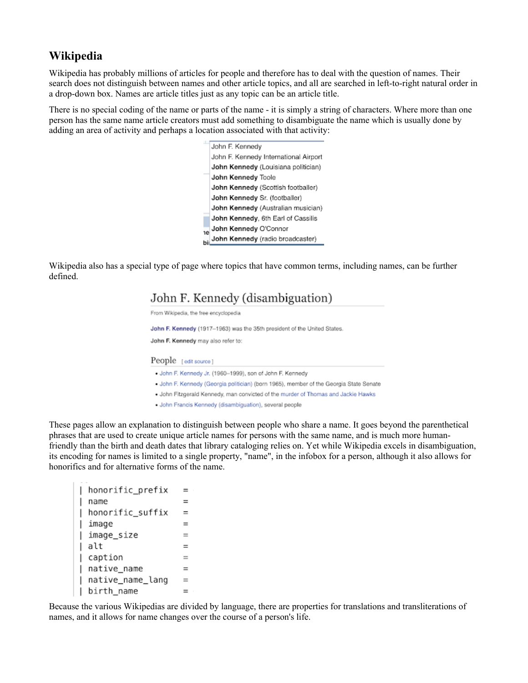#### **Wikipedia**

Wikipedia has probably millions of articles for people and therefore has to deal with the question of names. Their search does not distinguish between names and other article topics, and all are searched in left-to-right natural order in a drop-down box. Names are article titles just as any topic can be an article title.

There is no special coding of the name or parts of the name - it is simply a string of characters. Where more than one person has the same name article creators must add something to disambiguate the name which is usually done by adding an area of activity and perhaps a location associated with that activity:



Wikipedia also has a special type of page where topics that have common terms, including names, can be further defined.

#### John F. Kennedy (disambiguation)

From Wikipedia, the free encyclopedia

John F. Kennedy (1917-1963) was the 35th president of the United States.

John F. Kennedy may also refer to:

#### People [edit source]

- . John F. Kennedy Jr. (1960-1999), son of John F. Kennedy
- . John F. Kennedy (Georgia politician) (born 1965), member of the Georgia State Senate
- . John Fitzgerald Kennedy, man convicted of the murder of Thomas and Jackie Hawks
- John Francis Kennedy (disambiguation), several people

These pages allow an explanation to distinguish between people who share a name. It goes beyond the parenthetical phrases that are used to create unique article names for persons with the same name, and is much more humanfriendly than the birth and death dates that library cataloging relies on. Yet while Wikipedia excels in disambiguation, its encoding for names is limited to a single property, "name", in the infobox for a person, although it also allows for honorifics and for alternative forms of the name.

```
honorific prefix
                      =name
                      =| honorific_suffix
l image
                      =∣ imaqe size
                      =| alt
                      =| caption
                      =| native_name
                      \quad =| native_name_lang
                      =| birth_name
                      =
```
Because the various Wikipedias are divided by language, there are properties for translations and transliterations of names, and it allows for name changes over the course of a person's life.